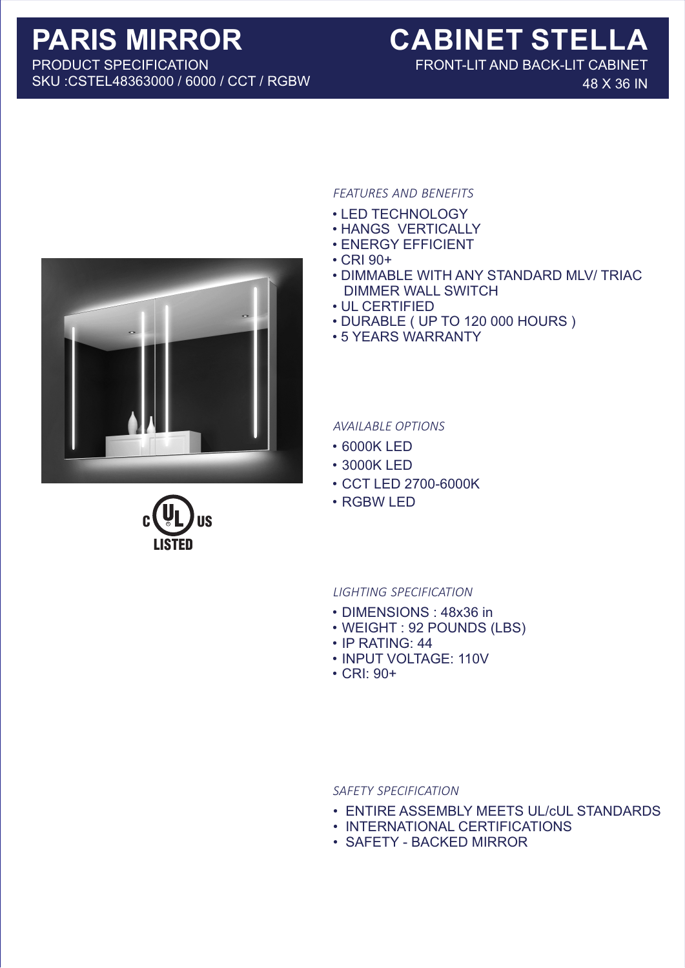PRODUCT SPECIFICATION SKU :CSTEL48363000 / 6000 / CCT / RGBW

# **PARIS MIRROR CABINET STELLA**

FRONT-LIT AND BACK-LIT CABINET 48 X 36 IN



LISTED

C <sup>R</sup> US

## *FEATURES AND BENEFITS*

- LED TECHNOLOGY
- HANGS VERTICALLY
- ENERGY EFFICIENT
- CRI 90+
- DIMMABLE WITH ANY STANDARD MLV/ TRIAC DIMMER WALL SWITCH
- UL CERTIFIED
- DURABLE ( UP TO 120 000 HOURS )
- 5 YEARS WARRANTY

### *AVAILABLE OPTIONS*

- 6000K LED
- 3000K LED
- CCT LED 2700-6000K
- RGBW LED

#### *LIGHTING SPECIFICATION*

- DIMENSIONS : 48x36 in
- WEIGHT : 92 POUNDS (LBS)
- IP RATING: 44
- INPUT VOLTAGE: 110V
- CRI: 90+

#### *SAFETY SPECIFICATION*

- ENTIRE ASSEMBLY MEETS UL/cUL STANDARDS
- INTERNATIONAL CERTIFICATIONS
- SAFETY BACKED MIRROR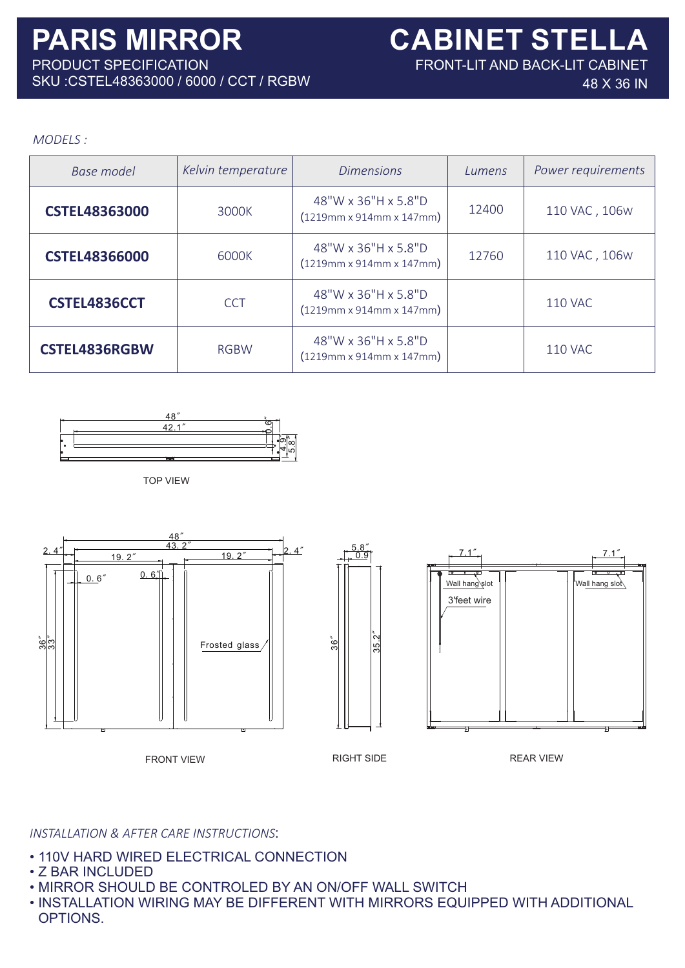FRONT-LIT AND BACK-LIT CABINET

48 X 36 IN

# *MODELS :*

| <b>Base model</b>    | Kelvin temperature | <b>Dimensions</b>                                           | Lumens | Power requirements |
|----------------------|--------------------|-------------------------------------------------------------|--------|--------------------|
| <b>CSTEL48363000</b> | 3000K              | 48"W x 36"H x 5.8"D<br>$(1219mm \times 914mm \times 147mm)$ | 12400  | 110 VAC, 106W      |
| <b>CSTEL48366000</b> | 6000K              | 48"W x 36"H x 5.8"D<br>$(1219mm \times 914mm \times 147mm)$ | 12760  | 110 VAC, 106W      |
| CSTEL4836CCT         | <b>CCT</b>         | 48"W x 36"H x 5.8"D<br>$(1219mm \times 914mm \times 147mm)$ |        | <b>110 VAC</b>     |
| <b>CSTEL4836RGBW</b> | <b>RGBW</b>        | 48"W x 36"H x 5.8"D<br>$(1219mm \times 914mm \times 147mm)$ |        | <b>110 VAC</b>     |



TOP VIEW



# *INSTALLATION & AFTER CARE INSTRUCTIONS*:

- 110V HARD WIRED ELECTRICAL CONNECTION
- Z BAR INCLUDED
- MIRROR SHOULD BE CONTROLED BY AN ON/OFF WALL SWITCH
- INSTALLATION WIRING MAY BE DIFFERENT WITH MIRRORS EQUIPPED WITH ADDITIONAL OPTIONS.